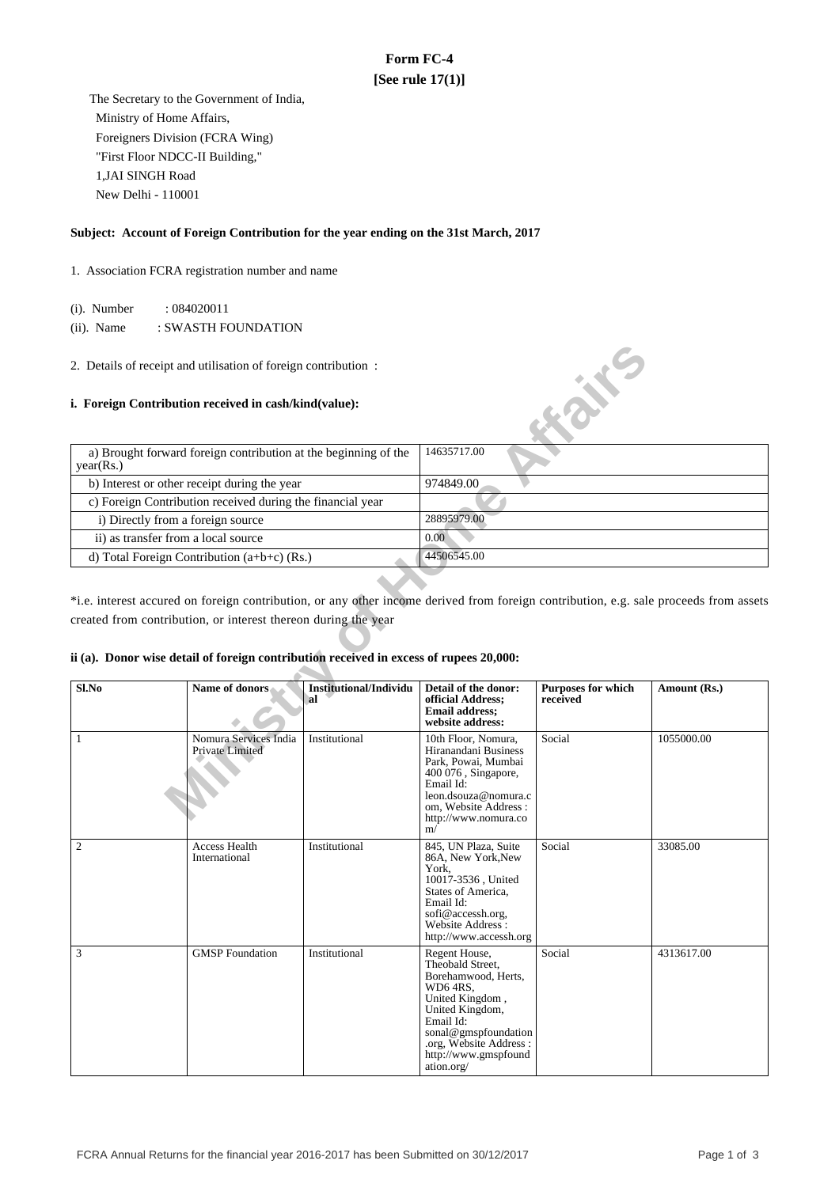# **Form FC-4 [See rule 17(1)]**

 The Secretary to the Government of India, Ministry of Home Affairs, Foreigners Division (FCRA Wing) "First Floor NDCC-II Building," 1,JAI SINGH Road New Delhi - 110001

# **Subject: Account of Foreign Contribution for the year ending on the 31st March, 2017**

1. Association FCRA registration number and name

(i). Number : 084020011

(ii). Name : SWASTH FOUNDATION

## **i. Foreign Contribution received in cash/kind(value):**

| a) Brought forward foreign contribution at the beginning of the<br>year(Rs.) | 14635717.00 |
|------------------------------------------------------------------------------|-------------|
| b) Interest or other receipt during the year                                 | 974849.00   |
| c) Foreign Contribution received during the financial year                   |             |
| i) Directly from a foreign source                                            | 28895979.00 |
| ii) as transfer from a local source                                          | 0.00        |
| d) Total Foreign Contribution $(a+b+c)$ (Rs.)                                | 44506545.00 |

## **ii (a). Donor wise detail of foreign contribution received in excess of rupees 20,000:**

|                                                                                                                                                                                                                                                                                                   | 2. Details of receipt and utilisation of foreign contribution : |                                     |                                                                                                                                                                                                                 |                                       |              |  |  |  |
|---------------------------------------------------------------------------------------------------------------------------------------------------------------------------------------------------------------------------------------------------------------------------------------------------|-----------------------------------------------------------------|-------------------------------------|-----------------------------------------------------------------------------------------------------------------------------------------------------------------------------------------------------------------|---------------------------------------|--------------|--|--|--|
|                                                                                                                                                                                                                                                                                                   | i. Foreign Contribution received in cash/kind(value):           |                                     |                                                                                                                                                                                                                 | <b>KOXE</b>                           |              |  |  |  |
| year(Rs.)                                                                                                                                                                                                                                                                                         | a) Brought forward foreign contribution at the beginning of the |                                     | 14635717.00                                                                                                                                                                                                     |                                       |              |  |  |  |
|                                                                                                                                                                                                                                                                                                   | b) Interest or other receipt during the year                    |                                     | 974849.00                                                                                                                                                                                                       |                                       |              |  |  |  |
|                                                                                                                                                                                                                                                                                                   | c) Foreign Contribution received during the financial year      |                                     |                                                                                                                                                                                                                 |                                       |              |  |  |  |
| i) Directly from a foreign source                                                                                                                                                                                                                                                                 |                                                                 |                                     | 28895979.00                                                                                                                                                                                                     |                                       |              |  |  |  |
| ii) as transfer from a local source                                                                                                                                                                                                                                                               |                                                                 |                                     | 0.00                                                                                                                                                                                                            |                                       |              |  |  |  |
|                                                                                                                                                                                                                                                                                                   | d) Total Foreign Contribution (a+b+c) (Rs.)                     |                                     | 44506545.00                                                                                                                                                                                                     |                                       |              |  |  |  |
| *i.e. interest accured on foreign contribution, or any other income derived from foreign contribution, e.g. sale proceeds from assets<br>created from contribution, or interest thereon during the year<br>ii (a). Donor wise detail of foreign contribution received in excess of rupees 20,000: |                                                                 |                                     |                                                                                                                                                                                                                 |                                       |              |  |  |  |
| Sl.No                                                                                                                                                                                                                                                                                             | Name of donors                                                  | <b>Institutional/Individu</b><br>al | Detail of the donor:<br>official Address;<br><b>Email address:</b><br>website address:                                                                                                                          | <b>Purposes for which</b><br>received | Amount (Rs.) |  |  |  |
| $\mathbf{1}$                                                                                                                                                                                                                                                                                      | Nomura Services India<br>Private Limited                        | Institutional                       | 10th Floor, Nomura,<br>Hiranandani Business<br>Park, Powai, Mumbai<br>400 076, Singapore,<br>Email Id:<br>leon.dsouza@nomura.c<br>om, Website Address:<br>http://www.nomura.co<br>m/                            | Social                                | 1055000.00   |  |  |  |
| $\overline{c}$                                                                                                                                                                                                                                                                                    | <b>Access Health</b><br>International                           | Institutional                       | 845, UN Plaza, Suite<br>86A, New York, New<br>York,<br>10017-3536, United<br>States of America,<br>Email Id:<br>sofi@accessh.org,<br>Website Address:<br>http://www.accessh.org                                 | Social                                | 33085.00     |  |  |  |
| 3                                                                                                                                                                                                                                                                                                 | <b>GMSP</b> Foundation                                          | Institutional                       | Regent House,<br>Theobald Street,<br>Borehamwood, Herts,<br>WD6 4RS,<br>United Kingdom,<br>United Kingdom,<br>Email Id:<br>sonal@gmspfoundation<br>.org, Website Address:<br>http://www.gmspfound<br>ation.org/ | Social                                | 4313617.00   |  |  |  |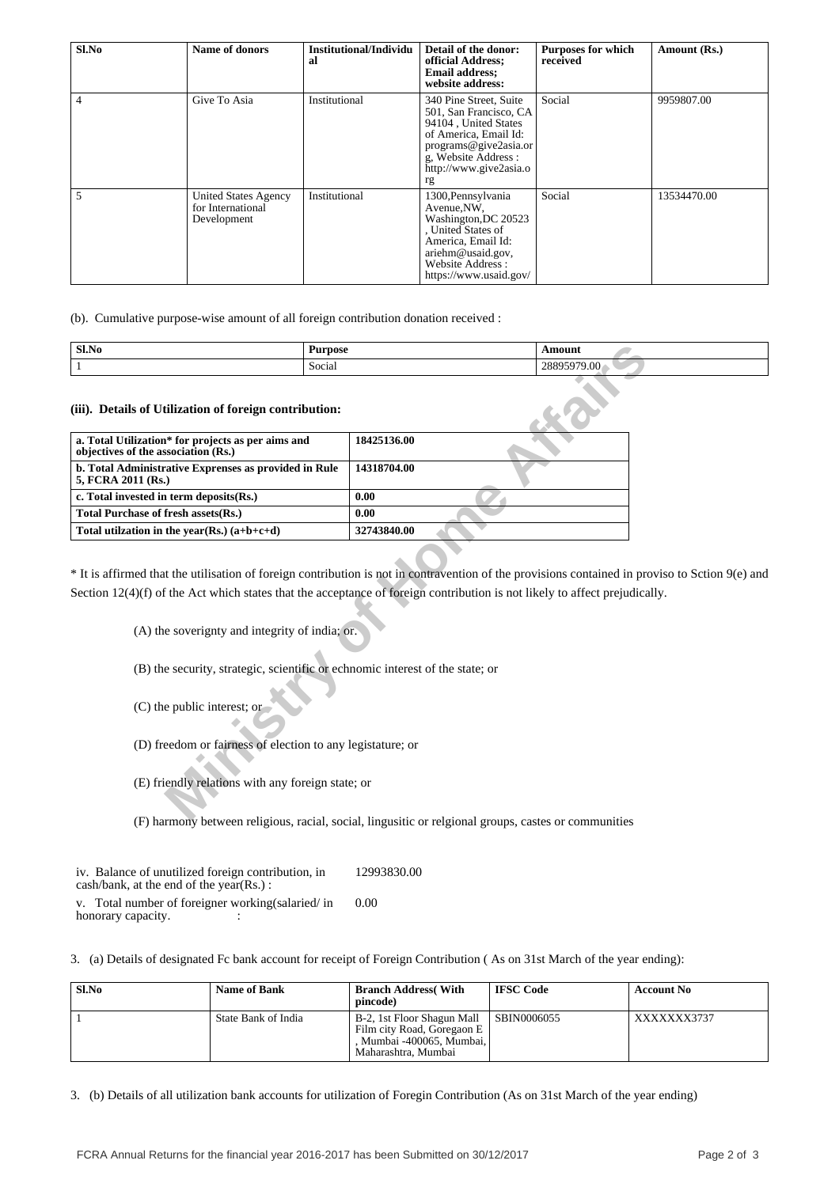| Sl.No          | Name of donors                                                  | Institutional/Individu<br>al | Detail of the donor:<br>official Address;<br><b>Email address:</b><br>website address:                                                                                             | <b>Purposes for which</b><br>received | Amount (Rs.) |
|----------------|-----------------------------------------------------------------|------------------------------|------------------------------------------------------------------------------------------------------------------------------------------------------------------------------------|---------------------------------------|--------------|
| $\overline{4}$ | Give To Asia                                                    | Institutional                | 340 Pine Street, Suite<br>501, San Francisco, CA<br>94104, United States<br>of America, Email Id:<br>programs@give2asia.or<br>g. Website Address :<br>http://www.give2asia.o<br>rg | Social                                | 9959807.00   |
| 5              | <b>United States Agency</b><br>for International<br>Development | Institutional                | 1300, Pennsylvania<br>Avenue, NW,<br>Washington, DC 20523<br>, United States of<br>America, Email Id:<br>ariehm@usaid.gov,<br>Website Address:<br>https://www.usaid.gov/           | Social                                | 13534470.00  |

(b). Cumulative purpose-wise amount of all foreign contribution donation received :

| Sl.No | Purpose                 | `moun.                       |
|-------|-------------------------|------------------------------|
|       | $\sim$<br>. .<br>Social | $\alpha$<br>$\Omega$<br>7.VU |

| Sl.No                                                                                     | <b>Purpose</b> |                                                                               | <b>Amount</b>                                                                                                                                                                                                                                           |
|-------------------------------------------------------------------------------------------|----------------|-------------------------------------------------------------------------------|---------------------------------------------------------------------------------------------------------------------------------------------------------------------------------------------------------------------------------------------------------|
| Social<br>1                                                                               |                |                                                                               | 28895979.00                                                                                                                                                                                                                                             |
| (iii). Details of Utilization of foreign contribution:                                    |                |                                                                               |                                                                                                                                                                                                                                                         |
| a. Total Utilization* for projects as per aims and<br>objectives of the association (Rs.) |                | 18425136.00                                                                   |                                                                                                                                                                                                                                                         |
| b. Total Administrative Exprenses as provided in Rule<br>5, FCRA 2011 (Rs.)               |                | 14318704.00                                                                   |                                                                                                                                                                                                                                                         |
| c. Total invested in term deposits(Rs.)                                                   |                | 0.00                                                                          |                                                                                                                                                                                                                                                         |
| Total Purchase of fresh assets(Rs.)                                                       |                | 0.00                                                                          |                                                                                                                                                                                                                                                         |
| Total utilization in the year(Rs.) $(a+b+c+d)$                                            |                | 32743840.00                                                                   |                                                                                                                                                                                                                                                         |
| (A) the soverignty and integrity of india; or.                                            |                | (B) the security, strategic, scientific or echnomic interest of the state; or | * It is affirmed that the utilisation of foreign contribution is not in contravention of the provisions contained in prov<br>Section $12(4)(f)$ of the Act which states that the acceptance of foreign contribution is not likely to affect prejudicall |
| (C) the public interest; or<br>(D) freedom or fairness of election to any legistature; or |                |                                                                               |                                                                                                                                                                                                                                                         |
| (E) friendly relations with any foreign state; or                                         |                |                                                                               |                                                                                                                                                                                                                                                         |
|                                                                                           |                |                                                                               | $\sum$ boundary between validing varied easiel linewitte or valerand groups eastes or communities                                                                                                                                                       |

\* It is affirmed that the utilisation of foreign contribution is not in contravention of the provisions contained in proviso to Sction 9(e) and Section 12(4)(f) of the Act which states that the acceptance of foreign contribution is not likely to affect prejudically.

(F) harmony between religious, racial, social, lingusitic or relgional groups, castes or communities

| iv. Balance of unutilized foreign contribution, in<br>$\cosh/bank$ , at the end of the year(Rs.): | 12993830.00 |
|---------------------------------------------------------------------------------------------------|-------------|
| v. Total number of foreigner working (salaried/in                                                 | 0.00        |
| honorary capacity.                                                                                |             |

3. (a) Details of designated Fc bank account for receipt of Foreign Contribution ( As on 31st March of the year ending):

| Sl.No | <b>Name of Bank</b> | <b>Branch Address</b> (With<br>pincode)                                                                        | <b>IFSC Code</b> | <b>Account No</b> |
|-------|---------------------|----------------------------------------------------------------------------------------------------------------|------------------|-------------------|
|       | State Bank of India | B-2, 1st Floor Shagun Mall<br>Film city Road, Goregaon E<br>, Mumbai -400065, Mumbai, l<br>Maharashtra, Mumbai | SBIN0006055      | XXXXXXX3737       |

3. (b) Details of all utilization bank accounts for utilization of Foregin Contribution (As on 31st March of the year ending)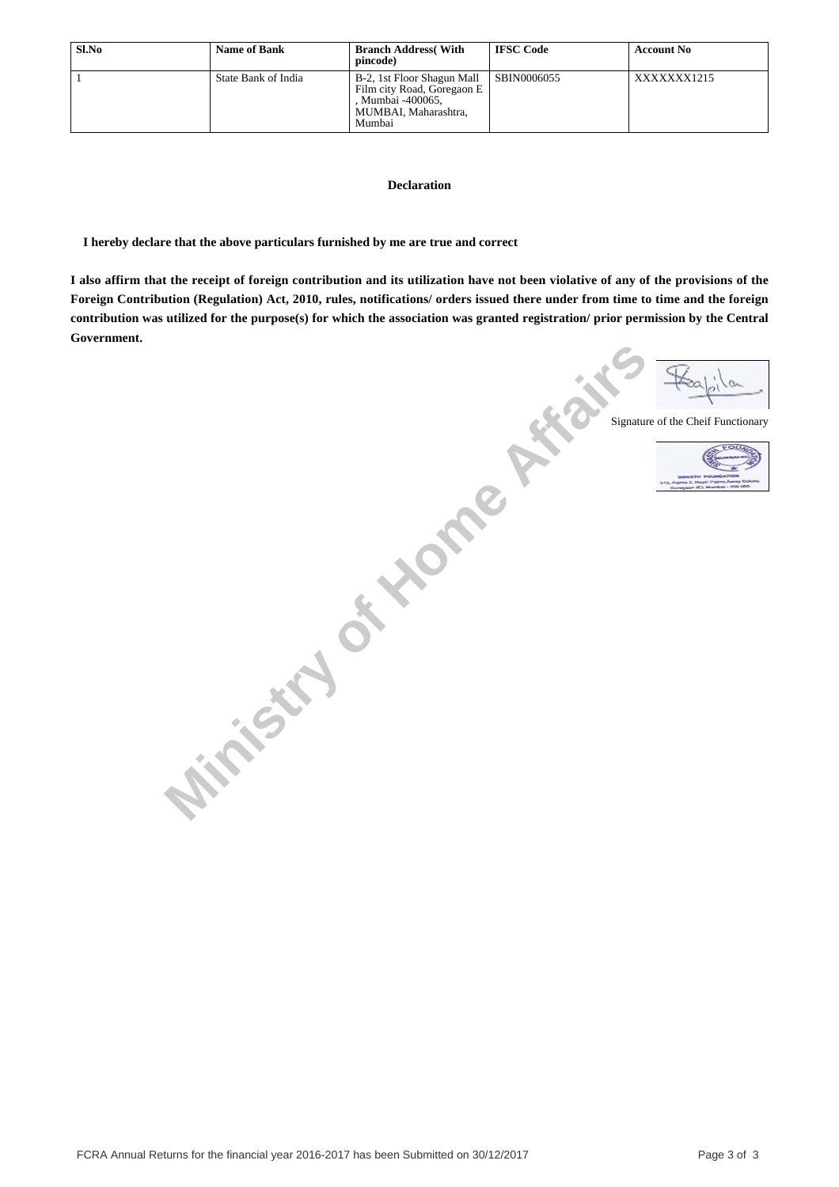| Sl.No | <b>Name of Bank</b> | <b>Branch Address</b> (With<br>pincode)                                                                         | <b>IFSC Code</b> | <b>Account No</b> |
|-------|---------------------|-----------------------------------------------------------------------------------------------------------------|------------------|-------------------|
|       | State Bank of India | B-2, 1st Floor Shagun Mall<br>Film city Road, Goregaon E<br>. Mumbai -400065.<br>MUMBAI, Maharashtra.<br>Mumbai | SBIN0006055      | XXXXXXX1215       |

#### **Declaration**

 **I hereby declare that the above particulars furnished by me are true and correct**

**I also affirm that the receipt of foreign contribution and its utilization have not been violative of any of the provisions of the Foreign Contribution (Regulation) Act, 2010, rules, notifications/ orders issued there under from time to time and the foreign contribution was utilized for the purpose(s) for which the association was granted registration/ prior permission by the Central Government.**

**Ministry of Home Affairs** Signature of the Cheif Functionary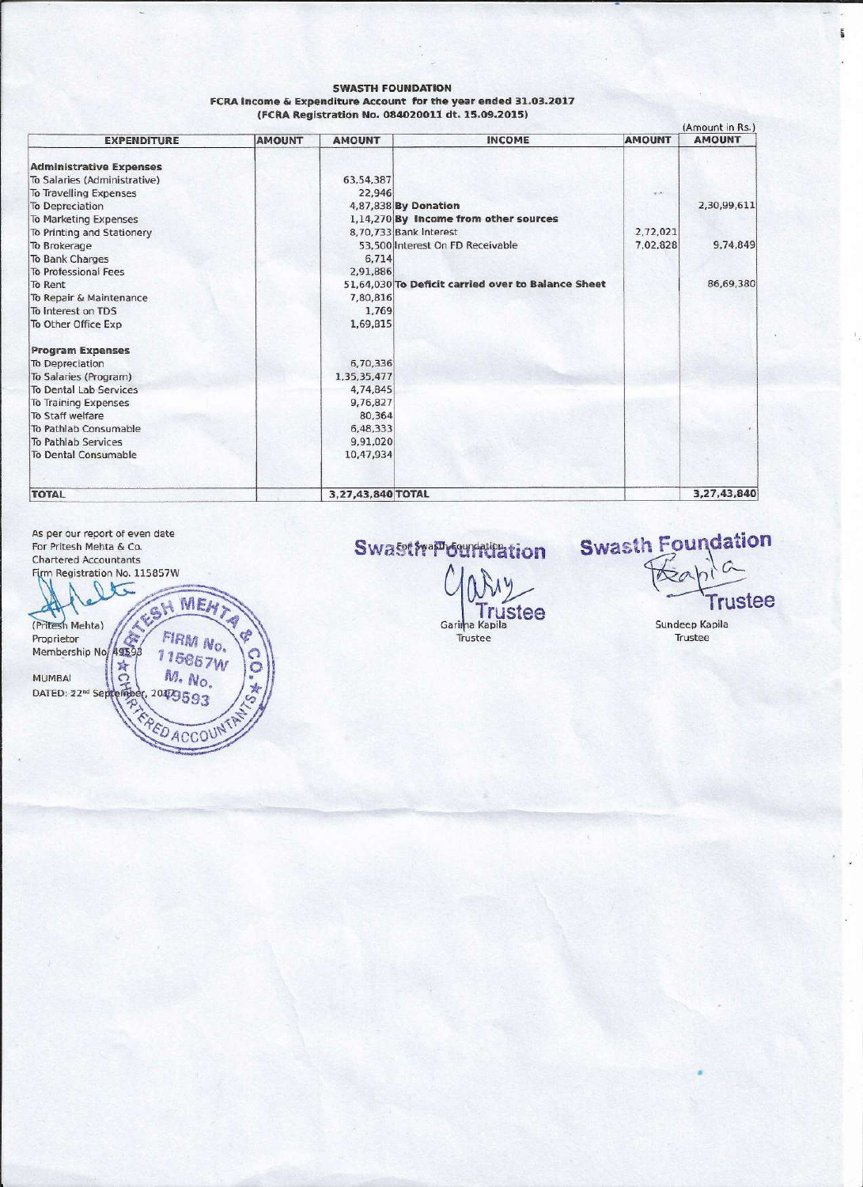#### **SWASTH FOUNDATION** FCRA Income & Expenditure Account for the year ended 31.03.2017 (FCRA Registration No. 084020011 dt. 15.09.2015)

|                                |               |                   |                                                    |               | (Amount in Rs.) |
|--------------------------------|---------------|-------------------|----------------------------------------------------|---------------|-----------------|
| <b>EXPENDITURE</b>             | <b>AMOUNT</b> | <b>AMOUNT</b>     | <b>INCOME</b>                                      | <b>AMOUNT</b> | <b>AMOUNT</b>   |
| <b>Administrative Expenses</b> |               |                   |                                                    |               |                 |
| To Salaries (Administrative)   |               | 63,54,387         |                                                    |               |                 |
| To Travelling Expenses         |               | 22,946            |                                                    | $(1 - 1)$     |                 |
| To Depreciation                |               |                   | 4,87,838 By Donation                               |               | 2,30,99,611     |
| To Marketing Expenses          |               |                   | 1,14,270 By Income from other sources              |               |                 |
| To Printing and Stationery     |               |                   | 8,70,733 Bank Interest                             | 2,72,021      |                 |
| To Brokerage                   |               |                   | 53,500 Interest On FD Receivable                   | 7,02,828      | 9,74,849        |
| To Bank Charges                |               | 6,714             |                                                    |               |                 |
| To Professional Fees           |               | 2,91,886          |                                                    |               |                 |
| To Rent                        |               |                   | 51,64,030 To Deficit carried over to Balance Sheet |               | 86,69,380       |
| To Repair & Maintenance        |               | 7,80,816          |                                                    |               |                 |
| To Interest on TDS             |               | 1,769             |                                                    |               |                 |
| To Other Office Exp            |               | 1,69,815          |                                                    |               |                 |
| <b>Program Expenses</b>        |               |                   |                                                    |               |                 |
| To Depreciation                |               | 6,70,336          |                                                    |               |                 |
| To Salaries (Program)          |               | 1,35,35,477       |                                                    |               |                 |
| To Dental Lab Services         |               | 4,74,845          |                                                    |               |                 |
| To Training Expenses           |               | 9,76,827          |                                                    |               |                 |
| To Staff welfare               |               | 80,364            |                                                    |               |                 |
| To Pathlab Consumable          |               | 6,48,333          |                                                    |               |                 |
| To Pathlab Services            |               | 9,91,020          |                                                    |               |                 |
| To Dental Consumable           |               | 10,47,934         |                                                    |               |                 |
|                                |               |                   |                                                    |               |                 |
| <b>TOTAL</b>                   |               | 3,27,43,840 TOTAL |                                                    |               | 3,27,43,840     |

As per our report of even date For Pritesh Mehta & Co. Chartered Accountants Firm Registration No. 115857W  $\theta$  $\sqrt{}$ MEH<sub>7</sub> ESH (Pritesh Mehta) FIRM No. Proprietor A. Membership No. 49598 115857W 高口  $M. N<sub>O</sub>$ MUMBAI 204/9593 DATED: 22<sup>nd</sup> Septemb P

EDACCOU

a

C

**Swastfrapournuation** Diry **Trustee** 

Garima Kapila

Trustee

**Swasth Foundation**  $\hat{C}$ **Trustee** 

Sundeep Kapila Trustee

蓋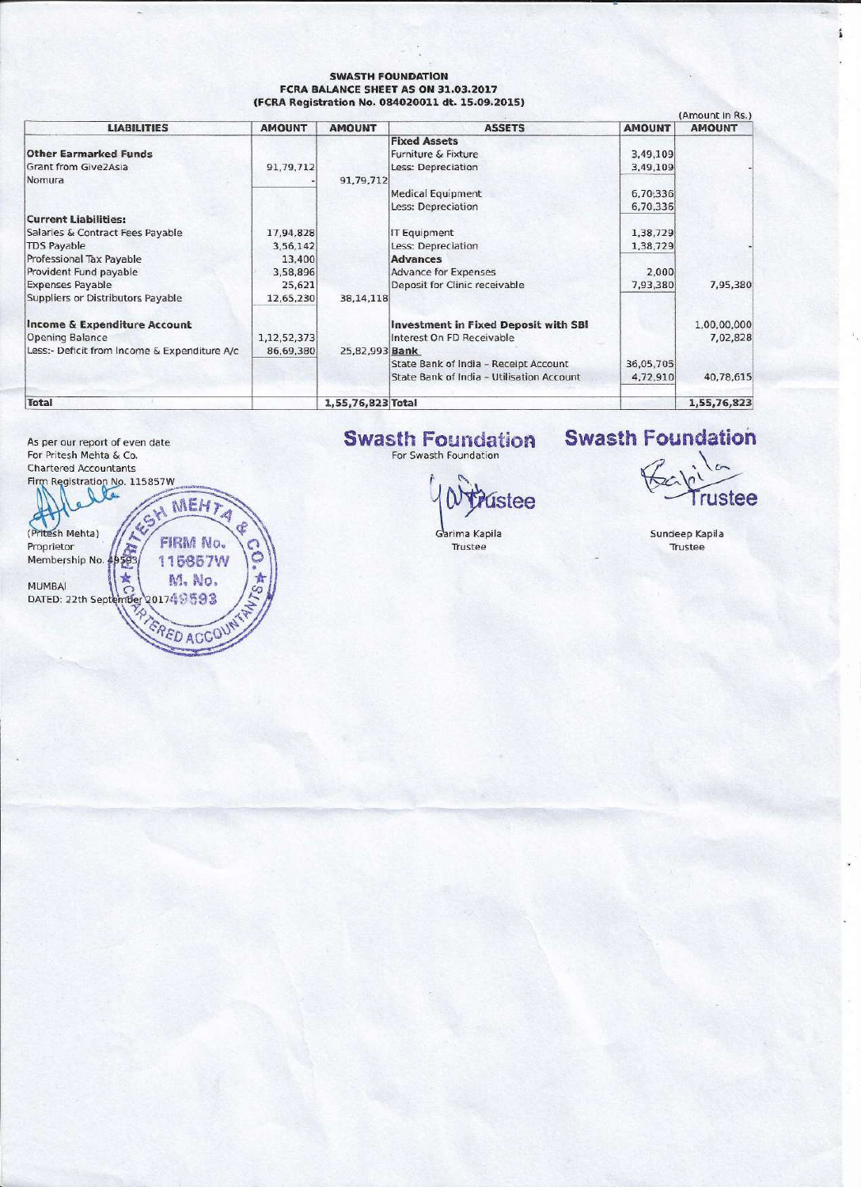#### **SWASTH FOUNDATION** FCRA BALANCE SHEET AS ON 31.03.2017 (FCRA Registration No. 084020011 dt. 15.09.2015)

|                                              |               |                   |                                             |               | (Amount in KS.) |
|----------------------------------------------|---------------|-------------------|---------------------------------------------|---------------|-----------------|
| <b>LIABILITIES</b>                           | <b>AMOUNT</b> | <b>AMOUNT</b>     | <b>ASSETS</b>                               | <b>AMOUNT</b> | <b>AMOUNT</b>   |
|                                              |               |                   | <b>Fixed Assets</b>                         |               |                 |
| <b>Other Earmarked Funds</b>                 |               |                   | Furniture & Fixture                         | 3,49,109      |                 |
| Grant from Give2Asia                         | 91,79,712     |                   | Less: Depreciation                          | 3,49,109      |                 |
| Nomura                                       |               | 91,79,712         |                                             |               |                 |
|                                              |               |                   | <b>Medical Equipment</b>                    | 6,70,336      |                 |
|                                              |               |                   | Less: Depreciation                          | 6,70,336      |                 |
| <b>Current Liabilities:</b>                  |               |                   |                                             |               |                 |
| Salaries & Contract Fees Payable             | 17,94,828     |                   | <b>IT Equipment</b>                         | 1,38,729      |                 |
| <b>TDS Payable</b>                           | 3,56,142      |                   | Less: Depreciation                          | 1,38,729      |                 |
| Professional Tax Payable                     | 13,400        |                   | <b>Advances</b>                             |               |                 |
| Provident Fund payable                       | 3,58,896      |                   | <b>Advance for Expenses</b>                 | 2,000         |                 |
| <b>Expenses Payable</b>                      | 25,621        |                   | Deposit for Clinic receivable               | 7,93,380      | 7,95,380        |
| Suppliers or Distributors Payable            | 12,65,230     | 38, 14, 118       |                                             |               |                 |
| <b>Income &amp; Expenditure Account</b>      |               |                   | <b>Investment in Fixed Deposit with SBI</b> |               | 1,00,00,000     |
| Opening Balance                              | 1,12,52,373   |                   | Interest On FD Receivable                   |               | 7,02,828        |
| Less:- Deficit from Income & Expenditure A/c | 86,69,380     | 25.82.993 Bank    |                                             |               |                 |
|                                              |               |                   | State Bank of India - Receipt Account       | 36,05,705     |                 |
|                                              |               |                   | State Bank of India - Utilisation Account   | 4,72,910      | 40,78,615       |
| <b>Total</b>                                 |               | 1,55,76,823 Total |                                             |               | 1,55,76,823     |

As per our report of even date For Pritesh Mehta & Co. **Chartered Accountants** 



# **Swasth Foundation**

ústee

rustee

£

Sundeep Kapila Trustee

**Swasth Foundation** 

Garima Kapila Trustee